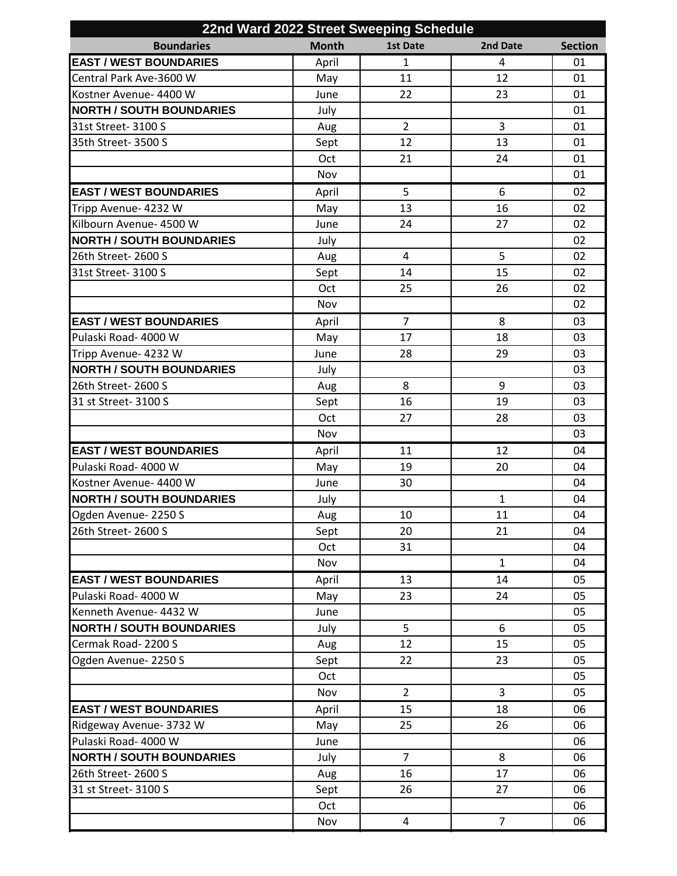| 22nd Ward 2022 Street Sweeping Schedule |              |                 |                |                |  |  |  |
|-----------------------------------------|--------------|-----------------|----------------|----------------|--|--|--|
| <b>Boundaries</b>                       | <b>Month</b> | <b>1st Date</b> | 2nd Date       | <b>Section</b> |  |  |  |
| <b>EAST / WEST BOUNDARIES</b>           | April        | $\mathbf{1}$    | 4              | 01             |  |  |  |
| Central Park Ave-3600 W                 | May          | 11              | 12             | 01             |  |  |  |
| Kostner Avenue- 4400 W                  | June         | 22              | 23             | 01             |  |  |  |
| <b>NORTH / SOUTH BOUNDARIES</b>         | July         |                 |                | 01             |  |  |  |
| 31st Street- 3100 S                     | Aug          | $\overline{2}$  | 3              | 01             |  |  |  |
| 35th Street- 3500 S                     | Sept         | 12              | 13             | 01             |  |  |  |
|                                         | Oct          | 21              | 24             | 01             |  |  |  |
|                                         | Nov          |                 |                | 01             |  |  |  |
| <b>EAST / WEST BOUNDARIES</b>           | April        | 5               | 6              | 02             |  |  |  |
| Tripp Avenue- 4232 W                    | May          | 13              | 16             | 02             |  |  |  |
| Kilbourn Avenue- 4500 W                 | June         | 24              | 27             | 02             |  |  |  |
| <b>NORTH / SOUTH BOUNDARIES</b>         | July         |                 |                | 02             |  |  |  |
| 26th Street- 2600 S                     | Aug          | 4               | 5              | 02             |  |  |  |
| 31st Street- 3100 S                     | Sept         | 14              | 15             | 02             |  |  |  |
|                                         | Oct          | 25              | 26             | 02             |  |  |  |
|                                         | Nov          |                 |                | 02             |  |  |  |
| <b>EAST / WEST BOUNDARIES</b>           | April        | 7               | 8              | 03             |  |  |  |
| Pulaski Road- 4000 W                    | May          | 17              | 18             | 03             |  |  |  |
| Tripp Avenue- 4232 W                    | June         | 28              | 29             | 03             |  |  |  |
| <b>NORTH / SOUTH BOUNDARIES</b>         | July         |                 |                | 03             |  |  |  |
| 26th Street- 2600 S                     | Aug          | 8               | 9              | 03             |  |  |  |
| 31 st Street- 3100 S                    | Sept         | 16              | 19             | 03             |  |  |  |
|                                         | Oct          | 27              | 28             | 03             |  |  |  |
|                                         | Nov          |                 |                | 03             |  |  |  |
| <b>EAST / WEST BOUNDARIES</b>           | April        | 11              | 12             | 04             |  |  |  |
| Pulaski Road- 4000 W                    | May          | 19              | 20             | 04             |  |  |  |
| Kostner Avenue- 4400 W                  | June         | 30              |                | 04             |  |  |  |
| <b>NORTH / SOUTH BOUNDARIES</b>         | July         |                 | $\mathbf{1}$   | 04             |  |  |  |
| Ogden Avenue-2250 S                     | Aug          | 10              | 11             | 04             |  |  |  |
| 26th Street- 2600 S                     | Sept         | 20              | 21             | 04             |  |  |  |
|                                         | Oct          | 31              |                | 04             |  |  |  |
|                                         | Nov          |                 | $\mathbf{1}$   | 04             |  |  |  |
| <b>EAST / WEST BOUNDARIES</b>           | April        | 13              | 14             | 05             |  |  |  |
| Pulaski Road- 4000 W                    | May          | 23              | 24             | 05             |  |  |  |
| Kenneth Avenue- 4432 W                  | June         |                 |                | 05             |  |  |  |
| <b>NORTH / SOUTH BOUNDARIES</b>         | July         | 5               | 6              | 05             |  |  |  |
| Cermak Road-2200 S                      | Aug          | 12              | 15             | 05             |  |  |  |
| Ogden Avenue-2250 S                     | Sept         | 22              | 23             | 05             |  |  |  |
|                                         | Oct          |                 |                | 05             |  |  |  |
|                                         | Nov          | $\overline{2}$  | 3              | 05             |  |  |  |
| <b>EAST / WEST BOUNDARIES</b>           | April        | 15              | 18             | 06             |  |  |  |
| Ridgeway Avenue- 3732 W                 | May          | 25              | 26             | 06             |  |  |  |
| Pulaski Road- 4000 W                    | June         |                 |                | 06             |  |  |  |
| <b>NORTH / SOUTH BOUNDARIES</b>         | July         | $\overline{7}$  | 8              | 06             |  |  |  |
| 26th Street- 2600 S                     | Aug          | 16              | 17             | 06             |  |  |  |
| 31 st Street- 3100 S                    | Sept         | 26              | 27             | 06             |  |  |  |
|                                         | Oct          |                 |                | 06             |  |  |  |
|                                         | Nov          | 4               | $\overline{7}$ | 06             |  |  |  |
|                                         |              |                 |                |                |  |  |  |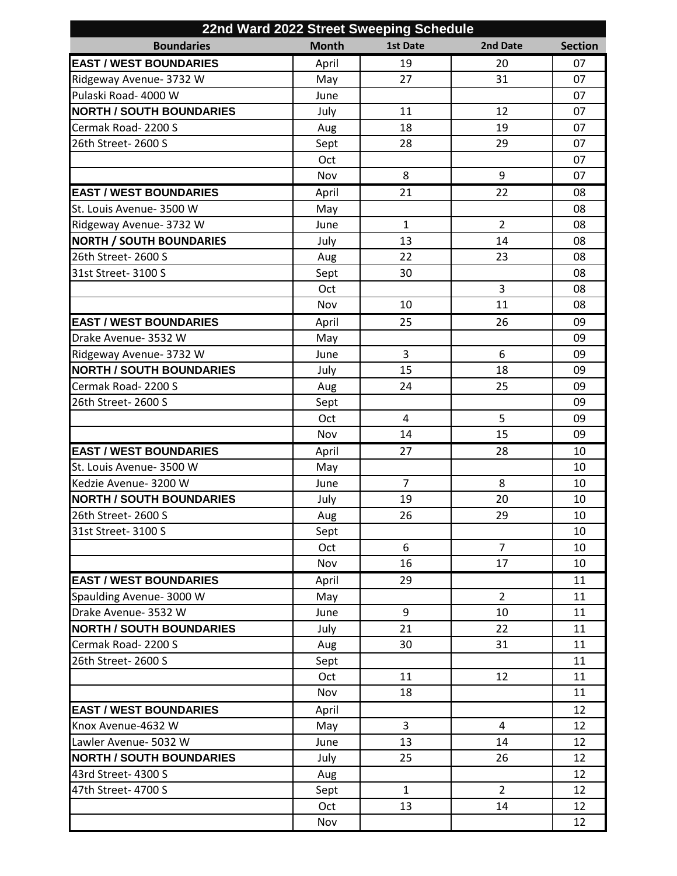| 22nd Ward 2022 Street Sweeping Schedule |              |                 |                |                |  |  |  |  |
|-----------------------------------------|--------------|-----------------|----------------|----------------|--|--|--|--|
| <b>Boundaries</b>                       | <b>Month</b> | <b>1st Date</b> | 2nd Date       | <b>Section</b> |  |  |  |  |
| <b>EAST / WEST BOUNDARIES</b>           | April        | 19              | 20             | 07             |  |  |  |  |
| Ridgeway Avenue- 3732 W                 | May          | 27              | 31             | 07             |  |  |  |  |
| Pulaski Road- 4000 W                    | June         |                 |                | 07             |  |  |  |  |
| <b>NORTH / SOUTH BOUNDARIES</b>         | July         | 11              | 12             | 07             |  |  |  |  |
| Cermak Road-2200 S                      | Aug          | 18              | 19             | 07             |  |  |  |  |
| 26th Street- 2600 S                     | Sept         | 28              | 29             | 07             |  |  |  |  |
|                                         | Oct          |                 |                | 07             |  |  |  |  |
|                                         | Nov          | 8               | 9              | 07             |  |  |  |  |
| <b>EAST / WEST BOUNDARIES</b>           | April        | 21              | 22             | 08             |  |  |  |  |
| St. Louis Avenue- 3500 W                | May          |                 |                | 08             |  |  |  |  |
| Ridgeway Avenue- 3732 W                 | June         | $\mathbf{1}$    | $\overline{2}$ | 08             |  |  |  |  |
| <b>NORTH / SOUTH BOUNDARIES</b>         | July         | 13              | 14             | 08             |  |  |  |  |
| 26th Street- 2600 S                     | Aug          | 22              | 23             | 08             |  |  |  |  |
| 31st Street- 3100 S                     | Sept         | 30              |                | 08             |  |  |  |  |
|                                         | Oct          |                 | 3              | 08             |  |  |  |  |
|                                         | Nov          | 10              | 11             | 08             |  |  |  |  |
| <b>EAST / WEST BOUNDARIES</b>           | April        | 25              | 26             | 09             |  |  |  |  |
| Drake Avenue- 3532 W                    | May          |                 |                | 09             |  |  |  |  |
| Ridgeway Avenue- 3732 W                 | June         | 3               | 6              | 09             |  |  |  |  |
| <b>NORTH / SOUTH BOUNDARIES</b>         | July         | 15              | 18             | 09             |  |  |  |  |
| Cermak Road-2200 S                      | Aug          | 24              | 25             | 09             |  |  |  |  |
| 26th Street- 2600 S                     | Sept         |                 |                | 09             |  |  |  |  |
|                                         | Oct          | 4               | 5              | 09             |  |  |  |  |
|                                         | Nov          | 14              | 15             | 09             |  |  |  |  |
| <b>EAST / WEST BOUNDARIES</b>           | April        | 27              | 28             | 10             |  |  |  |  |
| St. Louis Avenue- 3500 W                | May          |                 |                | 10             |  |  |  |  |
| Kedzie Avenue- 3200 W                   | June         | $\overline{7}$  | 8              | 10             |  |  |  |  |
| <b>NORTH / SOUTH BOUNDARIES</b>         | July         | 19              | 20             | 10             |  |  |  |  |
| 26th Street-2600 S                      | Aug          | 26              | 29             | 10             |  |  |  |  |
| 31st Street- 3100 S                     | Sept         |                 |                | 10             |  |  |  |  |
|                                         | Oct          | 6               | $\overline{7}$ | 10             |  |  |  |  |
|                                         | Nov          | 16              | 17             | 10             |  |  |  |  |
| <b>EAST / WEST BOUNDARIES</b>           | April        | 29              |                | 11             |  |  |  |  |
| Spaulding Avenue- 3000 W                | May          |                 | $\overline{2}$ | 11             |  |  |  |  |
| Drake Avenue- 3532 W                    | June         | 9               | 10             | 11             |  |  |  |  |
| <b>NORTH / SOUTH BOUNDARIES</b>         | July         | 21              | 22             | 11             |  |  |  |  |
| Cermak Road-2200 S                      | Aug          | 30              | 31             | 11             |  |  |  |  |
| 26th Street- 2600 S                     | Sept         |                 |                | 11             |  |  |  |  |
|                                         | Oct          | 11              | 12             | 11             |  |  |  |  |
|                                         | Nov          | 18              |                | 11             |  |  |  |  |
| <b>EAST / WEST BOUNDARIES</b>           | April        |                 |                | 12             |  |  |  |  |
| Knox Avenue-4632 W                      | May          | 3               | 4              | 12             |  |  |  |  |
| Lawler Avenue- 5032 W                   | June         | 13              | 14             | 12             |  |  |  |  |
| <b>NORTH / SOUTH BOUNDARIES</b>         | July         | 25              | 26             | 12             |  |  |  |  |
| 43rd Street- 4300 S                     | Aug          |                 |                | 12             |  |  |  |  |
| 47th Street- 4700 S                     | Sept         | $\mathbf{1}$    | $\overline{2}$ | 12             |  |  |  |  |
|                                         | Oct          | 13              | 14             | 12             |  |  |  |  |
|                                         | Nov          |                 |                | 12             |  |  |  |  |